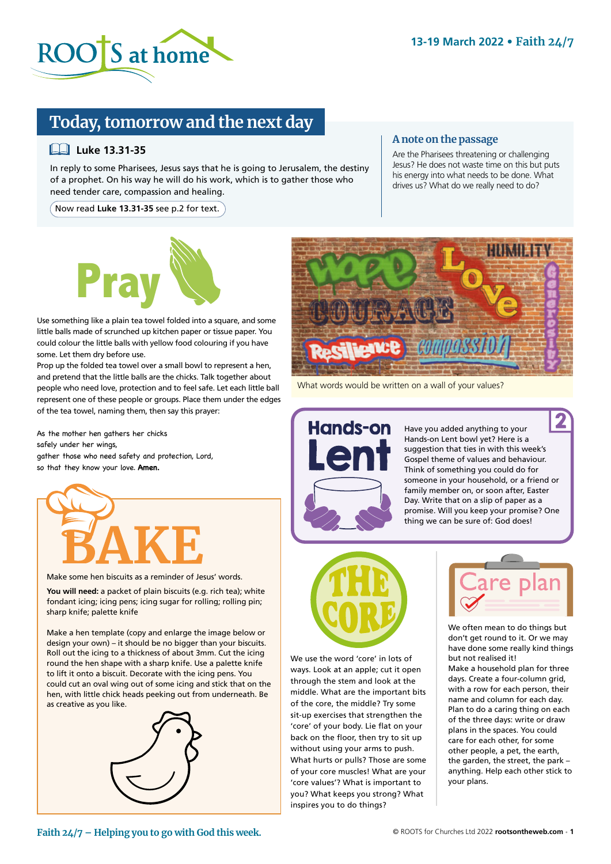

# **Today, tomorrow and the next day**

### **Luke 13.31-35**

In reply to some Pharisees, Jesus says that he is going to Jerusalem, the destiny of a prophet. On his way he will do his work, which is to gather those who need tender care, compassion and healing.

Now read **Luke 13.31-35** see p.2 for text.

#### **A note on the passage**

Are the Pharisees threatening or challenging Jesus? He does not waste time on this but puts his energy into what needs to be done. What drives us? What do we really need to do?



Use something like a plain tea towel folded into a square, and some little balls made of scrunched up kitchen paper or tissue paper. You could colour the little balls with yellow food colouring if you have some. Let them dry before use.

Prop up the folded tea towel over a small bowl to represent a hen, and pretend that the little balls are the chicks. Talk together about people who need love, protection and to feel safe. Let each little ball represent one of these people or groups. Place them under the edges of the tea towel, naming them, then say this prayer:

As the mother hen gathers her chicks safely under her wings, gather those who need safety and protection, Lord, so that they know your love. **Amen.**



Make some hen biscuits as a reminder of Jesus' words.

**You will need:** a packet of plain biscuits (e.g. rich tea); white fondant icing; icing pens; icing sugar for rolling; rolling pin; sharp knife; palette knife

Make a hen template (copy and enlarge the image below or design your own) – it should be no bigger than your biscuits. Roll out the icing to a thickness of about 3mm. Cut the icing round the hen shape with a sharp knife. Use a palette knife to lift it onto a biscuit. Decorate with the icing pens. You could cut an oval wing out of some icing and stick that on the hen, with little chick heads peeking out from underneath. Be as creative as you like.





What words would be written on a wall of your values?



Have you added anything to your Hands-on Lent bowl yet? Here is a suggestion that ties in with this week's Gospel theme of values and behaviour. Think of something you could do for someone in your household, or a friend or family member on, or soon after, Easter Day. Write that on a slip of paper as a promise. Will you keep your promise? One thing we can be sure of: God does!



We use the word 'core' in lots of ways. Look at an apple; cut it open through the stem and look at the middle. What are the important bits of the core, the middle? Try some sit-up exercises that strengthen the 'core' of your body. Lie flat on your back on the floor, then try to sit up without using your arms to push. What hurts or pulls? Those are some of your core muscles! What are your 'core values'? What is important to you? What keeps you strong? What inspires you to do things?



We often mean to do things but don't get round to it. Or we may have done some really kind things but not realised it!

Make a household plan for three days. Create a four-column grid, with a row for each person, their name and column for each day. Plan to do a caring thing on each of the three days: write or draw plans in the spaces. You could care for each other, for some other people, a pet, the earth, the garden, the street, the park – anything. Help each other stick to your plans.